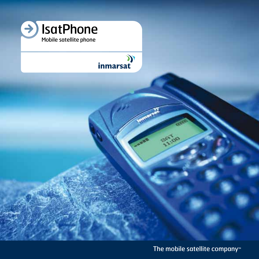

## (C<br>inmarsat

The mobile satellite company™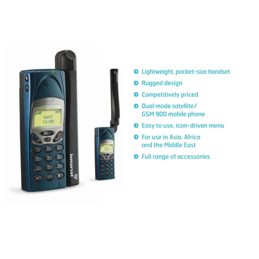

- Lightweight, pocket-size handset
- **O** Rugged design
- **O** Competitively priced
- $\bullet$  Dual mode satellite/ GSM 900 mobile phone
- Easy to use, icon-driven menu
- **O** For use in Asia, Africa and the Middle East
- $\odot$  Full range of accessories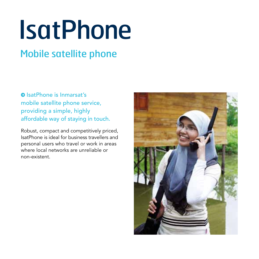# **IsatPhone**

### Mobile satellite phone

**O** IsatPhone is Inmarsat's mobile satellite phone service, providing a simple, highly affordable way of staying in touch.

Robust, compact and competitively priced, IsatPhone is ideal for business travellers and personal users who travel or work in areas where local networks are unreliable or non-existent.

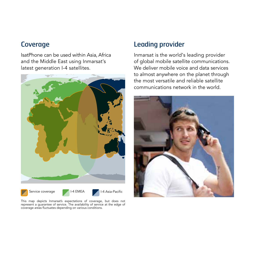#### **Coverage**

IsatPhone can be used within Asia, Africa and the Middle East using Inmarsat's latest generation I-4 satellites.



This map depicts Inmarsat's expectations of coverage, but does not represent a guarantee of service. The availability of service at the edge of coverage areas fluctuates depending on various conditions.

#### Leading provider

Inmarsat is the world's leading provider of global mobile satellite communications. We deliver mobile voice and data services to almost anywhere on the planet through the most versatile and reliable satellite communications network in the world.

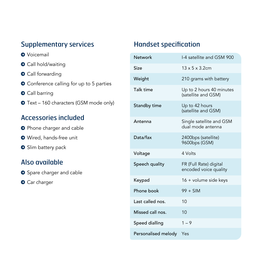#### Supplementary services

- **O** Voicemail
- **O** Call hold/waiting
- **O** Call forwarding
- **O** Conference calling for up to 5 parties
- **O** Call barring
- Text 160 characters (GSM mode only)

#### Accessories included

- **O** Phone charger and cable
- Wired, hands-free unit
- Slim battery pack

#### Also available

- Spare charger and cable
- **O** Car charger

#### Handset specification

| Network                 | 1-4 satellite and GSM 900                       |
|-------------------------|-------------------------------------------------|
| Size                    | $13 \times 5 \times 3.2$ cm                     |
| Weight                  | 210 grams with battery                          |
| Talk time               | Up to 2 hours 40 minutes<br>(satellite and GSM) |
| Standby time            | Up to 42 hours<br>(satellite and GSM)           |
| Antenna                 | Single satellite and GSM<br>dual mode antenna   |
| Data/fax                | 2400bps (satellite)<br>9600bps (GSM)            |
| Voltage                 | 4 Volts                                         |
| Speech quality          | FR (Full Rate) digital<br>encoded voice quality |
| Keypad                  | 16 + volume side keys                           |
| Phone book              | $99 + SIM$                                      |
| Last called nos.        | 10                                              |
| Missed call nos.        | 10                                              |
| Speed dialling          | $1 - 9$                                         |
| Personalised melody Yes |                                                 |